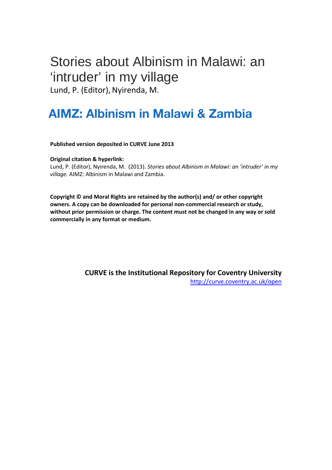# Stories about Albinism in Malawi: an 'intruder' in my village

Lund, P. (Editor), Nyirenda, M.

# AIMZ: Albinism in Malawi & Zambia

**Published version deposited in CURVE June 2013**

**Original citation & hyperlink:**

Lund, P. (Editor), Nyirenda, M. (2013). *Stories about Albinism in Malawi: an 'intruder' in my village.* AIMZ: Albinism in Malawi and Zambia.

**Copyright © and Moral Rights are retained by the author(s) and/ or other copyright owners. A copy can be downloaded for personal non-commercial research or study, without prior permission or charge. The content must not be changed in any way or sold commercially in any format or medium.**

> **CURVE is the Institutional Repository for Coventry University** <http://curve.coventry.ac.uk/open>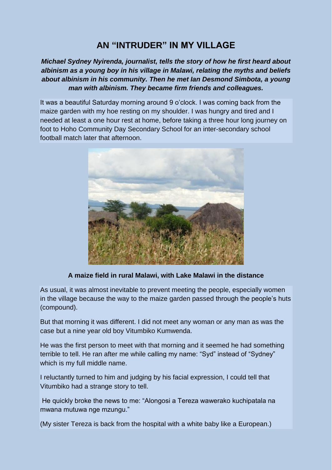### **AN "INTRUDER" IN MY VILLAGE**

#### *Michael Sydney Nyirenda, journalist, tells the story of how he first heard about albinism as a young boy in his village in Malawi, relating the myths and beliefs about albinism in his community. Then he met Ian Desmond Simbota, a young man with albinism. They became firm friends and colleagues.*

It was a beautiful Saturday morning around 9 o"clock. I was coming back from the maize garden with my hoe resting on my shoulder. I was hungry and tired and I needed at least a one hour rest at home, before taking a three hour long journey on foot to Hoho Community Day Secondary School for an inter-secondary school football match later that afternoon.



**A maize field in rural Malawi, with Lake Malawi in the distance**

As usual, it was almost inevitable to prevent meeting the people, especially women in the village because the way to the maize garden passed through the people"s huts (compound).

But that morning it was different. I did not meet any woman or any man as was the case but a nine year old boy Vitumbiko Kumwenda.

He was the first person to meet with that morning and it seemed he had something terrible to tell. He ran after me while calling my name: "Syd" instead of "Sydney" which is my full middle name.

I reluctantly turned to him and judging by his facial expression, I could tell that Vitumbiko had a strange story to tell.

He quickly broke the news to me: "Alongosi a Tereza wawerako kuchipatala na mwana mutuwa nge mzungu."

(My sister Tereza is back from the hospital with a white baby like a European.)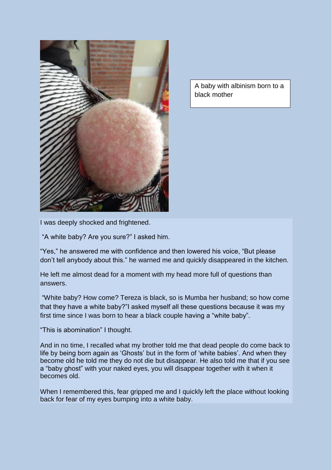

A baby with albinism born to a black mother

I was deeply shocked and frightened.

"A white baby? Are you sure?" I asked him.

"Yes," he answered me with confidence and then lowered his voice, "But please don"t tell anybody about this." he warned me and quickly disappeared in the kitchen.

He left me almost dead for a moment with my head more full of questions than answers.

"White baby? How come? Tereza is black, so is Mumba her husband; so how come that they have a white baby?"I asked myself all these questions because it was my first time since I was born to hear a black couple having a "white baby".

"This is abomination" I thought.

And in no time, I recalled what my brother told me that dead people do come back to life by being born again as 'Ghosts' but in the form of 'white babies'. And when they become old he told me they do not die but disappear. He also told me that if you see a "baby ghost" with your naked eyes, you will disappear together with it when it becomes old.

When I remembered this, fear gripped me and I quickly left the place without looking back for fear of my eyes bumping into a white baby.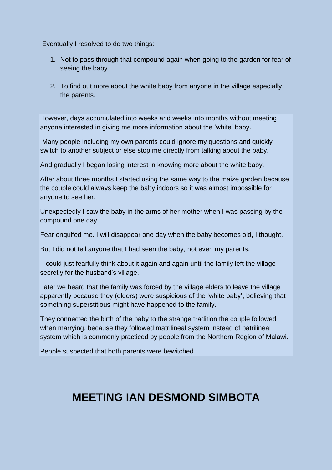Eventually I resolved to do two things:

- 1. Not to pass through that compound again when going to the garden for fear of seeing the baby
- 2. To find out more about the white baby from anyone in the village especially the parents.

However, days accumulated into weeks and weeks into months without meeting anyone interested in giving me more information about the "white" baby.

Many people including my own parents could ignore my questions and quickly switch to another subject or else stop me directly from talking about the baby.

And gradually I began losing interest in knowing more about the white baby.

After about three months I started using the same way to the maize garden because the couple could always keep the baby indoors so it was almost impossible for anyone to see her.

Unexpectedly I saw the baby in the arms of her mother when I was passing by the compound one day.

Fear engulfed me. I will disappear one day when the baby becomes old, I thought.

But I did not tell anyone that I had seen the baby; not even my parents.

I could just fearfully think about it again and again until the family left the village secretly for the husband's village.

Later we heard that the family was forced by the village elders to leave the village apparently because they (elders) were suspicious of the "white baby", believing that something superstitious might have happened to the family.

They connected the birth of the baby to the strange tradition the couple followed when marrying, because they followed matrilineal system instead of patrilineal system which is commonly practiced by people from the Northern Region of Malawi.

People suspected that both parents were bewitched.

# **MEETING IAN DESMOND SIMBOTA**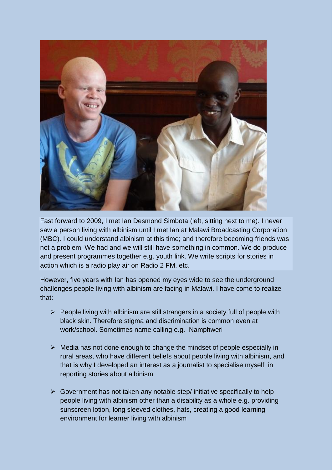

Fast forward to 2009, I met Ian Desmond Simbota (left, sitting next to me). I never saw a person living with albinism until I met Ian at Malawi Broadcasting Corporation (MBC). I could understand albinism at this time; and therefore becoming friends was not a problem. We had and we will still have something in common. We do produce and present programmes together e.g. youth link. We write scripts for stories in action which is a radio play air on Radio 2 FM. etc.

However, five years with Ian has opened my eyes wide to see the underground challenges people living with albinism are facing in Malawi. I have come to realize that:

- $\triangleright$  People living with albinism are still strangers in a society full of people with black skin. Therefore stigma and discrimination is common even at work/school. Sometimes name calling e.g. Namphweri
- $\triangleright$  Media has not done enough to change the mindset of people especially in rural areas, who have different beliefs about people living with albinism, and that is why I developed an interest as a journalist to specialise myself in reporting stories about albinism
- $\triangleright$  Government has not taken any notable step/ initiative specifically to help people living with albinism other than a disability as a whole e.g. providing sunscreen lotion, long sleeved clothes, hats, creating a good learning environment for learner living with albinism